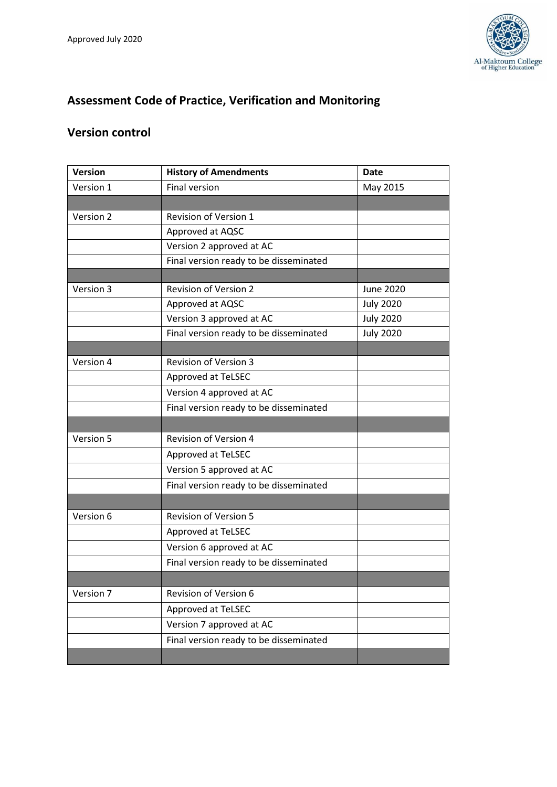

# **Assessment Code of Practice, Verification and Monitoring**

## **Version control**

| <b>Version</b> | <b>History of Amendments</b>           | <b>Date</b>      |
|----------------|----------------------------------------|------------------|
| Version 1      | <b>Final version</b>                   | May 2015         |
|                |                                        |                  |
| Version 2      | Revision of Version 1                  |                  |
|                | Approved at AQSC                       |                  |
|                | Version 2 approved at AC               |                  |
|                | Final version ready to be disseminated |                  |
|                |                                        |                  |
| Version 3      | <b>Revision of Version 2</b>           | <b>June 2020</b> |
|                | Approved at AQSC                       | <b>July 2020</b> |
|                | Version 3 approved at AC               | <b>July 2020</b> |
|                | Final version ready to be disseminated | <b>July 2020</b> |
|                |                                        |                  |
| Version 4      | <b>Revision of Version 3</b>           |                  |
|                | Approved at TeLSEC                     |                  |
|                | Version 4 approved at AC               |                  |
|                | Final version ready to be disseminated |                  |
|                |                                        |                  |
| Version 5      | <b>Revision of Version 4</b>           |                  |
|                | Approved at TeLSEC                     |                  |
|                | Version 5 approved at AC               |                  |
|                | Final version ready to be disseminated |                  |
|                |                                        |                  |
| Version 6      | <b>Revision of Version 5</b>           |                  |
|                | Approved at TeLSEC                     |                  |
|                | Version 6 approved at AC               |                  |
|                | Final version ready to be disseminated |                  |
|                |                                        |                  |
| Version 7      | Revision of Version 6                  |                  |
|                | Approved at TeLSEC                     |                  |
|                | Version 7 approved at AC               |                  |
|                | Final version ready to be disseminated |                  |
|                |                                        |                  |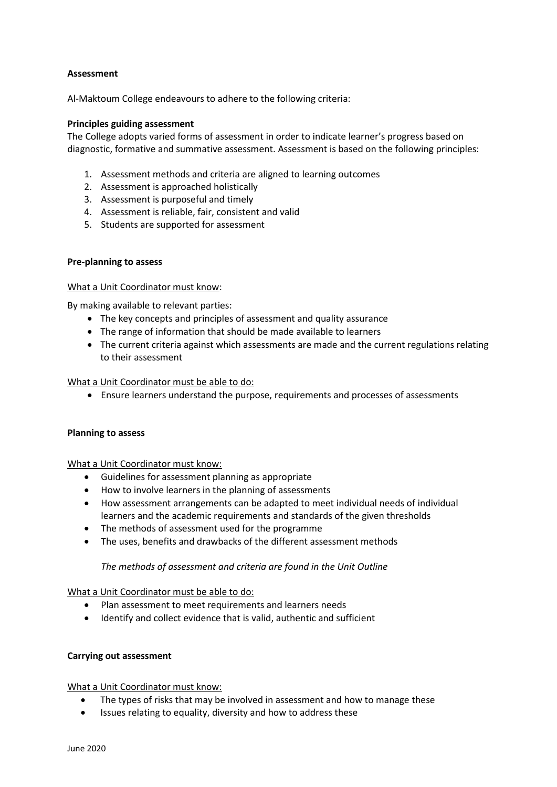## **Assessment**

Al-Maktoum College endeavours to adhere to the following criteria:

## **Principles guiding assessment**

The College adopts varied forms of assessment in order to indicate learner's progress based on diagnostic, formative and summative assessment. Assessment is based on the following principles:

- 1. Assessment methods and criteria are aligned to learning outcomes
- 2. Assessment is approached holistically
- 3. Assessment is purposeful and timely
- 4. Assessment is reliable, fair, consistent and valid
- 5. Students are supported for assessment

## **Pre-planning to assess**

#### What a Unit Coordinator must know:

By making available to relevant parties:

- The key concepts and principles of assessment and quality assurance
- The range of information that should be made available to learners
- The current criteria against which assessments are made and the current regulations relating to their assessment

#### What a Unit Coordinator must be able to do:

• Ensure learners understand the purpose, requirements and processes of assessments

#### **Planning to assess**

What a Unit Coordinator must know:

- Guidelines for assessment planning as appropriate
- How to involve learners in the planning of assessments
- How assessment arrangements can be adapted to meet individual needs of individual learners and the academic requirements and standards of the given thresholds
- The methods of assessment used for the programme
- The uses, benefits and drawbacks of the different assessment methods

## *The methods of assessment and criteria are found in the Unit Outline*

What a Unit Coordinator must be able to do:

- Plan assessment to meet requirements and learners needs
- Identify and collect evidence that is valid, authentic and sufficient

## **Carrying out assessment**

What a Unit Coordinator must know:

- The types of risks that may be involved in assessment and how to manage these
- Issues relating to equality, diversity and how to address these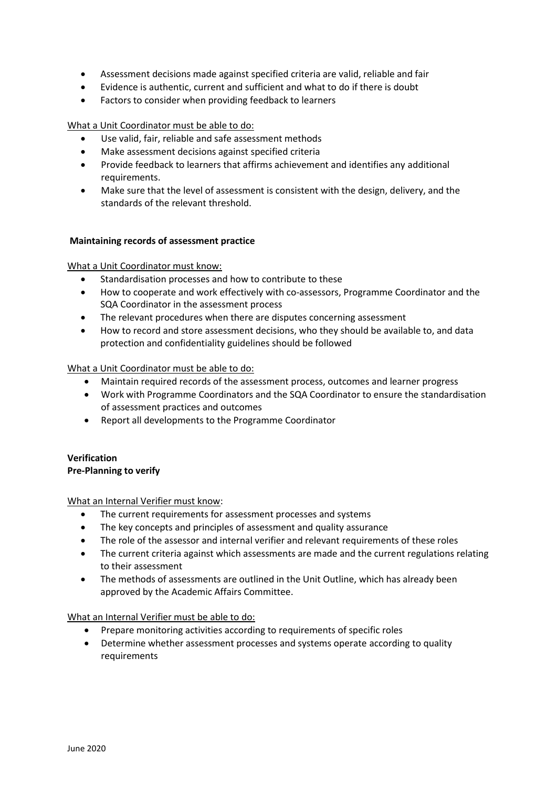- Assessment decisions made against specified criteria are valid, reliable and fair
- Evidence is authentic, current and sufficient and what to do if there is doubt
- Factors to consider when providing feedback to learners

## What a Unit Coordinator must be able to do:

- Use valid, fair, reliable and safe assessment methods
- Make assessment decisions against specified criteria
- Provide feedback to learners that affirms achievement and identifies any additional requirements.
- Make sure that the level of assessment is consistent with the design, delivery, and the standards of the relevant threshold.

## **Maintaining records of assessment practice**

What a Unit Coordinator must know:

- Standardisation processes and how to contribute to these
- How to cooperate and work effectively with co-assessors, Programme Coordinator and the SQA Coordinator in the assessment process
- The relevant procedures when there are disputes concerning assessment
- How to record and store assessment decisions, who they should be available to, and data protection and confidentiality guidelines should be followed

#### What a Unit Coordinator must be able to do:

- Maintain required records of the assessment process, outcomes and learner progress
- Work with Programme Coordinators and the SQA Coordinator to ensure the standardisation of assessment practices and outcomes
- Report all developments to the Programme Coordinator

## **Verification Pre-Planning to verify**

## What an Internal Verifier must know:

- The current requirements for assessment processes and systems
- The key concepts and principles of assessment and quality assurance
- The role of the assessor and internal verifier and relevant requirements of these roles
- The current criteria against which assessments are made and the current regulations relating to their assessment
- The methods of assessments are outlined in the Unit Outline, which has already been approved by the Academic Affairs Committee.

#### What an Internal Verifier must be able to do:

- Prepare monitoring activities according to requirements of specific roles
- Determine whether assessment processes and systems operate according to quality requirements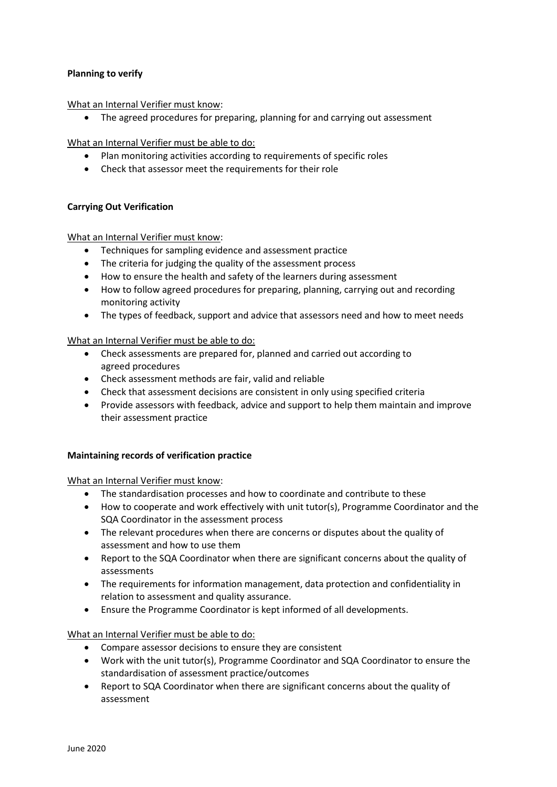## **Planning to verify**

What an Internal Verifier must know:

• The agreed procedures for preparing, planning for and carrying out assessment

What an Internal Verifier must be able to do:

- Plan monitoring activities according to requirements of specific roles
- Check that assessor meet the requirements for their role

## **Carrying Out Verification**

What an Internal Verifier must know:

- Techniques for sampling evidence and assessment practice
- The criteria for judging the quality of the assessment process
- How to ensure the health and safety of the learners during assessment
- How to follow agreed procedures for preparing, planning, carrying out and recording monitoring activity
- The types of feedback, support and advice that assessors need and how to meet needs

What an Internal Verifier must be able to do:

- Check assessments are prepared for, planned and carried out according to agreed procedures
- Check assessment methods are fair, valid and reliable
- Check that assessment decisions are consistent in only using specified criteria
- Provide assessors with feedback, advice and support to help them maintain and improve their assessment practice

## **Maintaining records of verification practice**

What an Internal Verifier must know:

- The standardisation processes and how to coordinate and contribute to these
- How to cooperate and work effectively with unit tutor(s), Programme Coordinator and the SQA Coordinator in the assessment process
- The relevant procedures when there are concerns or disputes about the quality of assessment and how to use them
- Report to the SQA Coordinator when there are significant concerns about the quality of assessments
- The requirements for information management, data protection and confidentiality in relation to assessment and quality assurance.
- Ensure the Programme Coordinator is kept informed of all developments.

What an Internal Verifier must be able to do:

- Compare assessor decisions to ensure they are consistent
- Work with the unit tutor(s), Programme Coordinator and SQA Coordinator to ensure the standardisation of assessment practice/outcomes
- Report to SQA Coordinator when there are significant concerns about the quality of assessment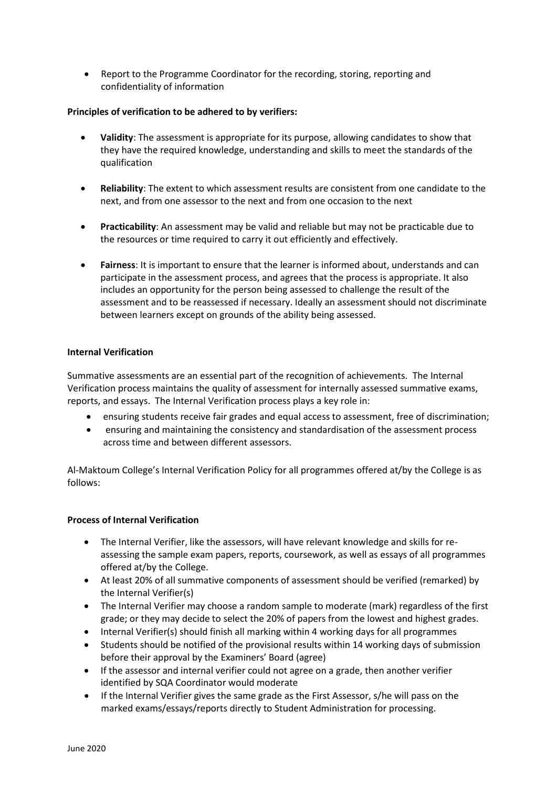• Report to the Programme Coordinator for the recording, storing, reporting and confidentiality of information

## **Principles of verification to be adhered to by verifiers:**

- **Validity**: The assessment is appropriate for its purpose, allowing candidates to show that they have the required knowledge, understanding and skills to meet the standards of the qualification
- **Reliability**: The extent to which assessment results are consistent from one candidate to the next, and from one assessor to the next and from one occasion to the next
- **Practicability**: An assessment may be valid and reliable but may not be practicable due to the resources or time required to carry it out efficiently and effectively.
- **Fairness**: It is important to ensure that the learner is informed about, understands and can participate in the assessment process, and agrees that the process is appropriate. It also includes an opportunity for the person being assessed to challenge the result of the assessment and to be reassessed if necessary. Ideally an assessment should not discriminate between learners except on grounds of the ability being assessed.

## **Internal Verification**

Summative assessments are an essential part of the recognition of achievements. The Internal Verification process maintains the quality of assessment for internally assessed summative exams, reports, and essays. The Internal Verification process plays a key role in:

- ensuring students receive fair grades and equal access to assessment, free of discrimination;
- ensuring and maintaining the consistency and standardisation of the assessment process across time and between different assessors.

Al-Maktoum College's Internal Verification Policy for all programmes offered at/by the College is as follows:

## **Process of Internal Verification**

- The Internal Verifier, like the assessors, will have relevant knowledge and skills for reassessing the sample exam papers, reports, coursework, as well as essays of all programmes offered at/by the College.
- At least 20% of all summative components of assessment should be verified (remarked) by the Internal Verifier(s)
- The Internal Verifier may choose a random sample to moderate (mark) regardless of the first grade; or they may decide to select the 20% of papers from the lowest and highest grades.
- Internal Verifier(s) should finish all marking within 4 working days for all programmes
- Students should be notified of the provisional results within 14 working days of submission before their approval by the Examiners' Board (agree)
- If the assessor and internal verifier could not agree on a grade, then another verifier identified by SQA Coordinator would moderate
- If the Internal Verifier gives the same grade as the First Assessor, s/he will pass on the marked exams/essays/reports directly to Student Administration for processing.